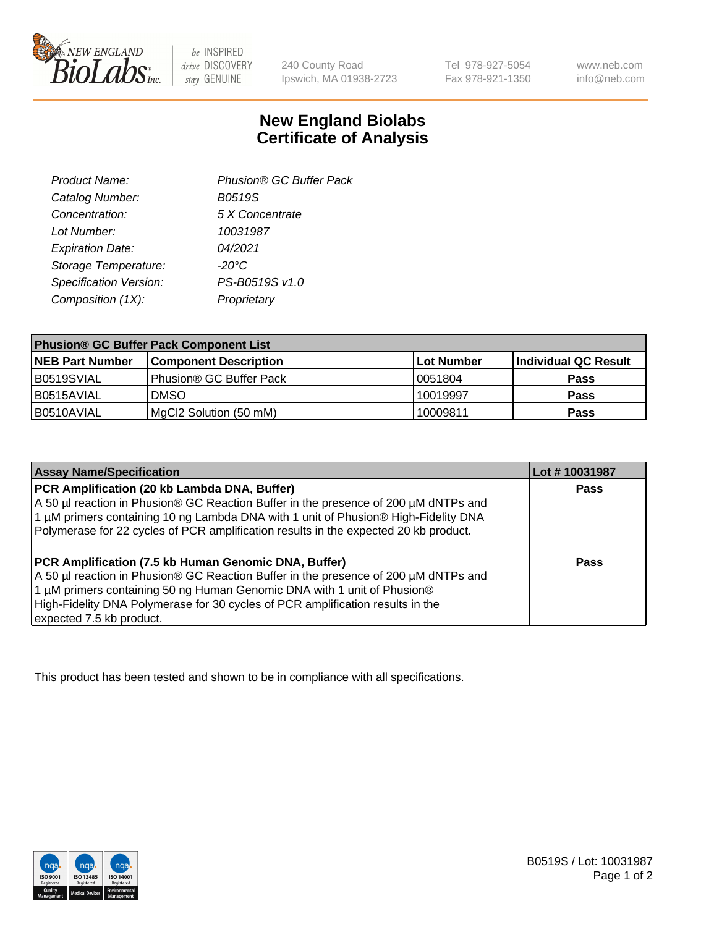

 $be$  INSPIRED drive DISCOVERY stay GENUINE

240 County Road Ipswich, MA 01938-2723 Tel 978-927-5054 Fax 978-921-1350 www.neb.com info@neb.com

## **New England Biolabs Certificate of Analysis**

| Phusion® GC Buffer Pack |
|-------------------------|
| <b>B0519S</b>           |
| 5 X Concentrate         |
| 10031987                |
| 04/2021                 |
| $-20^{\circ}$ C         |
| PS-B0519S v1.0          |
| Proprietary             |
|                         |

| <b>Phusion® GC Buffer Pack Component List</b> |                              |             |                      |  |
|-----------------------------------------------|------------------------------|-------------|----------------------|--|
| <b>NEB Part Number</b>                        | <b>Component Description</b> | ∣Lot Number | Individual QC Result |  |
| B0519SVIAL                                    | Phusion® GC Buffer Pack      | 10051804    | <b>Pass</b>          |  |
| B0515AVIAL                                    | <b>DMSO</b>                  | 10019997    | <b>Pass</b>          |  |
| B0510AVIAL                                    | MgCl2 Solution (50 mM)       | 10009811    | <b>Pass</b>          |  |

| <b>Assay Name/Specification</b>                                                                                                                                                                                                                                                                                                             | Lot #10031987 |
|---------------------------------------------------------------------------------------------------------------------------------------------------------------------------------------------------------------------------------------------------------------------------------------------------------------------------------------------|---------------|
| PCR Amplification (20 kb Lambda DNA, Buffer)<br>A 50 µl reaction in Phusion® GC Reaction Buffer in the presence of 200 µM dNTPs and<br>1 μM primers containing 10 ng Lambda DNA with 1 unit of Phusion® High-Fidelity DNA<br>Polymerase for 22 cycles of PCR amplification results in the expected 20 kb product.                           | <b>Pass</b>   |
| <b>PCR Amplification (7.5 kb Human Genomic DNA, Buffer)</b><br>A 50 µl reaction in Phusion® GC Reaction Buffer in the presence of 200 µM dNTPs and<br>1 µM primers containing 50 ng Human Genomic DNA with 1 unit of Phusion®<br>High-Fidelity DNA Polymerase for 30 cycles of PCR amplification results in the<br>expected 7.5 kb product. | <b>Pass</b>   |

This product has been tested and shown to be in compliance with all specifications.